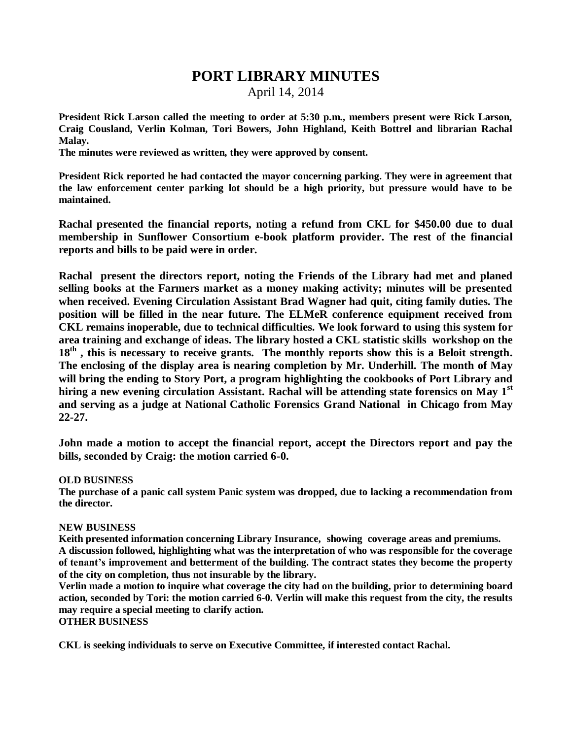## **PORT LIBRARY MINUTES**

April 14, 2014

**President Rick Larson called the meeting to order at 5:30 p.m., members present were Rick Larson, Craig Cousland, Verlin Kolman, Tori Bowers, John Highland, Keith Bottrel and librarian Rachal Malay.**

**The minutes were reviewed as written, they were approved by consent.**

**President Rick reported he had contacted the mayor concerning parking. They were in agreement that the law enforcement center parking lot should be a high priority, but pressure would have to be maintained.** 

**Rachal presented the financial reports, noting a refund from CKL for \$450.00 due to dual membership in Sunflower Consortium e-book platform provider. The rest of the financial reports and bills to be paid were in order.**

**Rachal present the directors report, noting the Friends of the Library had met and planed selling books at the Farmers market as a money making activity; minutes will be presented when received. Evening Circulation Assistant Brad Wagner had quit, citing family duties. The position will be filled in the near future. The ELMeR conference equipment received from CKL remains inoperable, due to technical difficulties. We look forward to using this system for area training and exchange of ideas. The library hosted a CKL statistic skills workshop on the 18th , this is necessary to receive grants. The monthly reports show this is a Beloit strength. The enclosing of the display area is nearing completion by Mr. Underhill. The month of May will bring the ending to Story Port, a program highlighting the cookbooks of Port Library and hiring a new evening circulation Assistant. Rachal will be attending state forensics on May 1st and serving as a judge at National Catholic Forensics Grand National in Chicago from May 22-27.** 

**John made a motion to accept the financial report, accept the Directors report and pay the bills, seconded by Craig: the motion carried 6-0.**

## **OLD BUSINESS**

**The purchase of a panic call system Panic system was dropped, due to lacking a recommendation from the director.**

## **NEW BUSINESS**

**Keith presented information concerning Library Insurance, showing coverage areas and premiums. A discussion followed, highlighting what was the interpretation of who was responsible for the coverage of tenant's improvement and betterment of the building. The contract states they become the property of the city on completion, thus not insurable by the library.**

**Verlin made a motion to inquire what coverage the city had on the building, prior to determining board action, seconded by Tori: the motion carried 6-0. Verlin will make this request from the city, the results may require a special meeting to clarify action.**

## **OTHER BUSINESS**

**CKL is seeking individuals to serve on Executive Committee, if interested contact Rachal.**